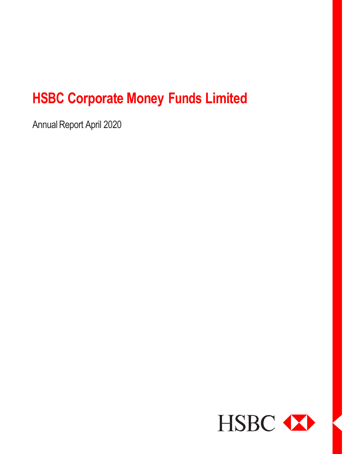Annual Report April 2020

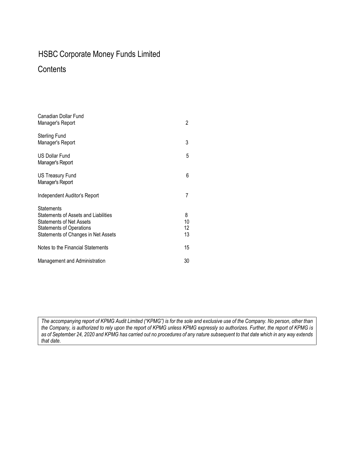### **Contents**

| Canadian Dollar Fund<br>Manager's Report                                                                                                                        | 2                   |
|-----------------------------------------------------------------------------------------------------------------------------------------------------------------|---------------------|
| <b>Sterling Fund</b><br>Manager's Report                                                                                                                        | 3                   |
| <b>US Dollar Fund</b><br>Manager's Report                                                                                                                       | 5                   |
| <b>US Treasury Fund</b><br>Manager's Report                                                                                                                     | 6                   |
| Independent Auditor's Report                                                                                                                                    | 7                   |
| <b>Statements</b><br>Statements of Assets and Liabilities<br><b>Statements of Net Assets</b><br>Statements of Operations<br>Statements of Changes in Net Assets | 8<br>10<br>12<br>13 |
| Notes to the Financial Statements                                                                                                                               | 15                  |
| Management and Administration                                                                                                                                   | 30                  |

*The accompanying report of KPMG Audit Limited ("KPMG") is for the sole and exclusive use of the Company. No person, other than the Company, is authorized to rely upon the report of KPMG unless KPMG expressly so authorizes. Further, the report of KPMG is as of September 24, 2020 and KPMG has carried out no procedures of any nature subsequent to that date which in any way extends that date.*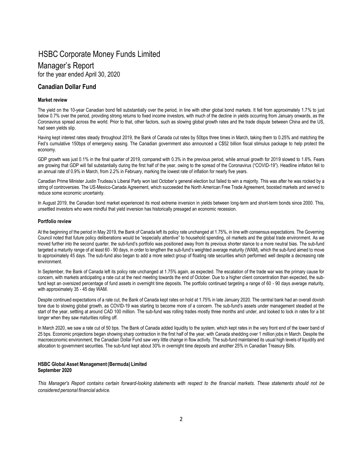## Manager's Report

for the year ended April 30, 2020

### **Canadian Dollar Fund**

#### **Market review**

The yield on the 10-year Canadian bond fell substantially over the period, in line with other global bond markets. It fell from approximately 1.7% to just below 0.7% over the period, providing strong returns to fixed income investors, with much of the decline in yields occurring from January onwards, as the Coronavirus spread across the world. Prior to that, other factors, such as slowing global growth rates and the trade dispute between China and the US, had seen yields slip.

Having kept interest rates steady throughout 2019, the Bank of Canada cut rates by 50bps three times in March, taking them to 0.25% and matching the Fed's cumulative 150bps of emergency easing. The Canadian government also announced a C\$52 billion fiscal stimulus package to help protect the economy.

GDP growth was just 0.1% in the final quarter of 2019, compared with 0.3% in the previous period, while annual growth for 2019 slowed to 1.6%. Fears are growing that GDP will fall substantially during the first half of the year, owing to the spread of the Coronavirus ("COVID-19"). Headline inflation fell to an annual rate of 0.9% in March, from 2.2% in February, marking the lowest rate of inflation for nearly five years.

Canadian Prime Minister Justin Trudeau's Liberal Party won last October's general election but failed to win a majority. This was after he was rocked by a string of controversies. The US-Mexico-Canada Agreement, which succeeded the North American Free Trade Agreement, boosted markets and served to reduce some economic uncertainty.

In August 2019, the Canadian bond market experienced its most extreme inversion in yields between long-term and short-term bonds since 2000. This, unsettled investors who were mindful that yield inversion has historically presaged an economic recession.

#### **Portfolio review**

At the beginning of the period in May 2019, the Bank of Canada left its policy rate unchanged at 1.75%, in line with consensus expectations. The Governing Council noted that future policy deliberations would be "especially attentive" to household spending, oil markets and the global trade environment. As we moved further into the second quarter, the sub-fund's portfolio was positioned away from its previous shorter stance to a more neutral bias. The sub-fund targeted a maturity range of at least 60 - 90 days, in order to lengthen the sub-fund's weighted average maturity (WAM), which the sub-fund aimed to move to approximately 45 days. The sub-fund also began to add a more select group of floating rate securities which performed well despite a decreasing rate environment.

In September, the Bank of Canada left its policy rate unchanged at 1.75% again, as expected. The escalation of the trade war was the primary cause for concern, with markets anticipating a rate cut at the next meeting towards the end of October. Due to a higher client concentration than expected, the subfund kept an oversized percentage of fund assets in overnight time deposits. The portfolio continued targeting a range of 60 - 90 days average maturity, with approximately 35 - 45 day WAM.

Despite continued expectations of a rate cut, the Bank of Canada kept rates on hold at 1.75% in late January 2020. The central bank had an overall dovish tone due to slowing global growth, as COVID-19 was starting to become more of a concern. The sub-fund's assets under management steadied at the start of the year, settling at around CAD 100 million. The sub-fund was rolling trades mostly three months and under, and looked to lock in rates for a bit longer when they saw maturities rolling off.

In March 2020, we saw a rate cut of 50 bps. The Bank of Canada added liquidity to the system, which kept rates in the very front end of the lower band of 25 bps. Economic projections began showing sharp contraction in the first half of the year, with Canada shedding over 1 million jobs in March. Despite the macroeconomic environment, the Canadian Dollar Fund saw very little change in flow activity. The sub-fund maintained its usual high levels of liquidity and allocation to government securities. The sub-fund kept about 30% in overnight time deposits and another 25% in Canadian Treasury Bills.

#### **HSBC Global Asset Management(Bermuda) Limited September 2020**

This Manager's Report contains certain forward-looking statements with respect to the financial markets. These statements should not be *considered personal financial advice.*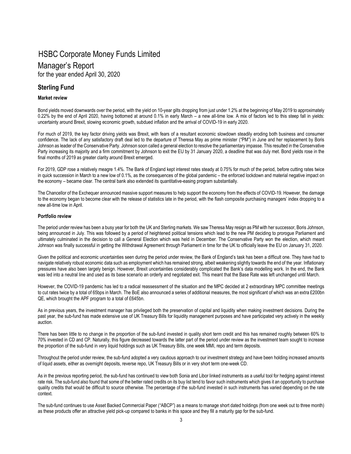### Manager's Report

for the year ended April 30, 2020

### **Sterling Fund**

#### **Market review**

Bond yields moved downwards over the period, with the yield on 10-year gilts dropping from just under 1.2% at the beginning of May 2019 to approximately 0.22% by the end of April 2020, having bottomed at around 0.1% in early March – a new all-time low. A mix of factors led to this steep fall in yields: uncertainty around Brexit, slowing economic growth, subdued inflation and the arrival of COVID-19 in early 2020.

For much of 2019, the key factor driving yields was Brexit, with fears of a resultant economic slowdown steadily eroding both business and consumer confidence. The lack of any satisfactory draft deal led to the departure of Theresa May as prime minister ("PM") in June and her replacement by Boris Johnson as leader of the Conservative Party. Johnson soon called a general election to resolve the parliamentary impasse. This resulted in the Conservative Party increasing its majority and a firm commitment by Johnson to exit the EU by 31 January 2020, a deadline that was duly met. Bond yields rose in the final months of 2019 as greater clarity around Brexit emerged.

For 2019, GDP rose a relatively meagre 1.4%. The Bank of England kept interest rates steady at 0.75% for much of the period, before cutting rates twice in quick succession in March to a new low of 0.1%, as the consequences of the global pandemic – the enforced lockdown and material negative impact on the economy – became clear. The central bank also extended its quantitative-easing program substantially.

The Chancellor of the Exchequer announced massive support measures to help support the economy from the effects of COVID-19. However, the damage to the economy began to become clear with the release of statistics late in the period, with the flash composite purchasing managers' index dropping to a new all-time low in April.

#### **Portfolio review**

The period under review has been a busy year for both the UK and Sterling markets. We saw Theresa May resign as PM with her successor, Boris Johnson, being announced in July. This was followed by a period of heightened political tensions which lead to the new PM deciding to prorogue Parliament and ultimately culminated in the decision to call a General Election which was held in December. The Conservative Party won the election, which meant Johnson was finally successful in getting the Withdrawal Agreement through Parliament in time for the UK to officially leave the EU on January 31, 2020.

Given the political and economic uncertainties seen during the period under review, the Bank of England's task has been a difficult one. They have had to navigate relatively robust economic data such as employment which has remained strong, albeit weakening slightly towards the end of the year. Inflationary pressures have also been largely benign. However, Brexit uncertainties considerably complicated the Bank's data modelling work. In the end, the Bank was led into a neutral line and used as its base scenario an orderly and negotiated exit. This meant that the Base Rate was left unchanged until March.

However, the COVID-19 pandemic has led to a radical reassessment of the situation and the MPC decided at 2 extraordinary MPC committee meetings to cut rates twice by a total of 65bps in March. The BoE also announced a series of additional measures, the most significant of which was an extra £200bn QE, which brought the APF program to a total of £645bn.

As in previous years, the investment manager has privileged both the preservation of capital and liquidity when making investment decisions. During the past year, the sub-fund has made extensive use of UK Treasury Bills for liquidity management purposes and have participated very actively in the weekly auction.

There has been little to no change in the proportion of the sub-fund invested in quality short term credit and this has remained roughly between 60% to 70% invested in CD and CP. Naturally, this figure decreased towards the latter part of the period under review as the investment team sought to increase the proportion of the sub-fund in very liquid holdings such as UK Treasury Bills, one week MMI, repo and term deposits.

Throughout the period under review, the sub-fund adopted a very cautious approach to our investment strategy and have been holding increased amounts of liquid assets, either as overnight deposits, reverse repo, UK Treasury Bills or in very short term one-week CD.

As in the previous reporting period, the sub-fund has continued to view both Sonia and Libor linked instruments as a useful tool for hedging against interest rate risk. The sub-fund also found that some of the better rated credits on its buy list tend to favor such instruments which gives it an opportunity to purchase quality credits that would be difficult to source otherwise. The percentage of the sub-fund invested in such instruments has varied depending on the rate context.

The sub-fund continues to use Asset Backed Commercial Paper ("ABCP") as a means to manage short dated holdings (from one week out to three month) as these products offer an attractive yield pick-up compared to banks in this space and they fill a maturity gap for the sub-fund.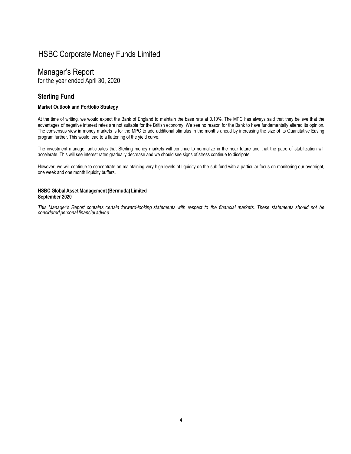### Manager's Report

for the year ended April 30, 2020

### **Sterling Fund**

#### **Market Outlook and Portfolio Strategy**

At the time of writing, we would expect the Bank of England to maintain the base rate at 0.10%. The MPC has always said that they believe that the advantages of negative interest rates are not suitable for the British economy. We see no reason for the Bank to have fundamentally altered its opinion. The consensus view in money markets is for the MPC to add additional stimulus in the months ahead by increasing the size of its Quantitative Easing program further. This would lead to a flattening of the yield curve.

The investment manager anticipates that Sterling money markets will continue to normalize in the near future and that the pace of stabilization will accelerate. This will see interest rates gradually decrease and we should see signs of stress continue to dissipate.

However, we will continue to concentrate on maintaining very high levels of liquidity on the sub-fund with a particular focus on monitoring our overnight, one week and one month liquidity buffers.

#### **HSBC Global Asset Management(Bermuda) Limited September 2020**

This Manager's Report contains certain forward-looking statements with respect to the financial markets. These statements should not be *considered personal financial advice.*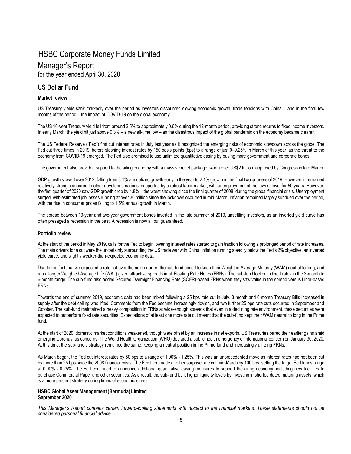### Manager's Report

for the year ended April 30, 2020

### **US Dollar Fund**

#### **Market review**

US Treasury yields sank markedly over the period as investors discounted slowing economic growth, trade tensions with China – and in the final few months of the period – the impact of COVID-19 on the global economy.

The US 10-year Treasury yield fell from around 2.5% to approximately 0.6% during the 12-month period, providing strong returns to fixed income investors. In early March, the yield hit just above 0.3% – a new all-time low – as the disastrous impact of the global pandemic on the economy became clearer.

The US Federal Reserve ("Fed") first cut interest rates in July last year as it recognized the emerging risks of economic slowdown across the globe. The Fed cut three times in 2019, before slashing interest rates by 150 basis points (bps) to a range of just 0–0.25% in March of this year, as the threat to the economy from COVID-19 emerged. The Fed also promised to use unlimited quantitative easing by buying more government and corporate bonds.

The government also provided support to the ailing economy with a massive relief package, worth over US\$2 trillion, approved by Congress in late March.

GDP growth slowed over 2019, falling from 3.1% annualized growth early in the year to 2.1% growth in the final two quarters of 2019. However, it remained relatively strong compared to other developed nations, supported by a robust labor market, with unemployment at the lowest level for 50 years. However, the first quarter of 2020 saw GDP growth drop by 4.8% – the worst showing since the final quarter of 2008, during the global financial crisis. Unemployment surged, with estimated job losses running at over 30 million since the lockdown occurred in mid-March. Inflation remained largely subdued over the period, with the rise in consumer prices falling to 1.5% annual growth in March.

The spread between 10-year and two-year government bonds inverted in the late summer of 2019, unsettling investors, as an inverted yield curve has often presaged a recession in the past. A recession is now all but guaranteed.

#### **Portfolio review**

At the start of the period in May 2019, calls for the Fed to begin lowering interest rates started to gain traction following a prolonged period of rate increases. The main drivers for a cut were the uncertainty surrounding the US trade war with China, inflation running steadily below the Fed's 2% objective, an inverted yield curve, and slightly weaker-than-expected economic data.

Due to the fact that we expected a rate cut over the next quarter, the sub-fund aimed to keep their Weighted Average Maturity (WAM) neutral to long, and ran a longer Weighted Average Life (WAL) given attractive spreads in all Floating Rate Notes (FRNs). The sub-fund locked in fixed rates in the 3-month to 6-month range. The sub-fund also added Secured Overnight Financing Rate (SOFR)-based FRNs when they saw value in the spread versus Libor-based FRNs.

Towards the end of summer 2019, economic data had been mixed following a 25 bps rate cut in July. 3-month and 6-month Treasury Bills increased in supply after the debt ceiling was lifted. Comments from the Fed became increasingly dovish, and two further 25 bps rate cuts occurred in September and October. The sub-fund maintained a heavy composition in FRNs at wide-enough spreads that even in a declining rate environment, these securities were expected to outperform fixed rate securities. Expectations of at least one more rate cut meant that the sub-fund kept their WAM neutral to long in the Prime fund.

At the start of 2020, domestic market conditions weakened, though were offset by an increase in net exports. US Treasuries pared their earlier gains amid emerging Coronavirus concerns. The World Health Organization (WHO) declared a public health emergency of international concern on January 30, 2020. At this time, the sub-fund's strategy remained the same, keeping a neutral position in the Prime fund and increasingly utilizing FRNs.

As March began, the Fed cut interest rates by 50 bps to a range of 1.00% - 1.25%. This was an unprecedented move as interest rates had not been cut by more than 25 bps since the 2008 financial crisis. The Fed then made another surprise rate cut mid-March by 100 bps, setting the target Fed funds range at 0.00% - 0.25%. The Fed continued to announce additional quantitative easing measures to support the ailing economy, including new facilities to purchase Commercial Paper and other securities. As a result, the sub-fund built higher liquidity levels by investing in shorted dated maturing assets, which is a more prudent strategy during times of economic stress.

#### **HSBC Global Asset Management(Bermuda) Limited September 2020**

*This Manager's Report contains certain forward-looking statements with respect to the financial markets. These statements should not be considered personal financial advice.*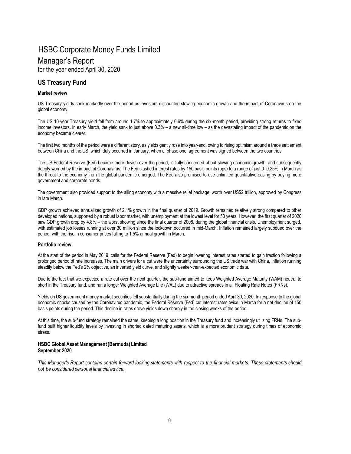### Manager's Report

for the year ended April 30, 2020

### **US Treasury Fund**

#### **Market review**

US Treasury yields sank markedly over the period as investors discounted slowing economic growth and the impact of Coronavirus on the global economy.

The US 10-year Treasury yield fell from around 1.7% to approximately 0.6% during the six-month period, providing strong returns to fixed income investors. In early March, the yield sank to just above 0.3% – a new all-time low – as the devastating impact of the pandemic on the economy became clearer.

The first two months of the period were a different story, as yields gently rose into year-end, owing to rising optimism around a trade settlement between China and the US, which duly occurred in January, when a 'phase one' agreement was signed between the two countries.

The US Federal Reserve (Fed) became more dovish over the period, initially concerned about slowing economic growth, and subsequently deeply worried by the impact of Coronavirus. The Fed slashed interest rates by 150 basis points (bps) to a range of just 0–0.25% in March as the threat to the economy from the global pandemic emerged. The Fed also promised to use unlimited quantitative easing by buying more government and corporate bonds.

The government also provided support to the ailing economy with a massive relief package, worth over US\$2 trillion, approved by Congress in late March.

GDP growth achieved annualized growth of 2.1% growth in the final quarter of 2019. Growth remained relatively strong compared to other developed nations, supported by a robust labor market, with unemployment at the lowest level for 50 years. However, the first quarter of 2020 saw GDP growth drop by 4.8% – the worst showing since the final quarter of 2008, during the global financial crisis. Unemployment surged, with estimated job losses running at over 30 million since the lockdown occurred in mid-March. Inflation remained largely subdued over the period, with the rise in consumer prices falling to 1.5% annual growth in March.

#### **Portfolio review**

At the start of the period in May 2019, calls for the Federal Reserve (Fed) to begin lowering interest rates started to gain traction following a prolonged period of rate increases. The main drivers for a cut were the uncertainty surrounding the US trade war with China, inflation running steadily below the Fed's 2% objective, an inverted yield curve, and slightly weaker-than-expected economic data.

Due to the fact that we expected a rate cut over the next quarter, the sub-fund aimed to keep Weighted Average Maturity (WAM) neutral to short in the Treasury fund, and ran a longer Weighted Average Life (WAL) due to attractive spreads in all Floating Rate Notes (FRNs).

Yields on US government money market securities fell substantially during the six-month period ended April 30, 2020. In response to the global economic shocks caused by the Coronavirus pandemic, the Federal Reserve (Fed) cut interest rates twice in March for a net decline of 150 basis points during the period. This decline in rates drove yields down sharply in the closing weeks of the period.

At this time, the sub-fund strategy remained the same, keeping a long position in the Treasury fund and increasingly utilizing FRNs. The subfund built higher liquidity levels by investing in shorted dated maturing assets, which is a more prudent strategy during times of economic stress.

#### **HSBC Global Asset Management(Bermuda) Limited September 2020**

This Manager's Report contains certain forward-looking statements with respect to the financial markets. These statements should *not be considered personal financial advice.*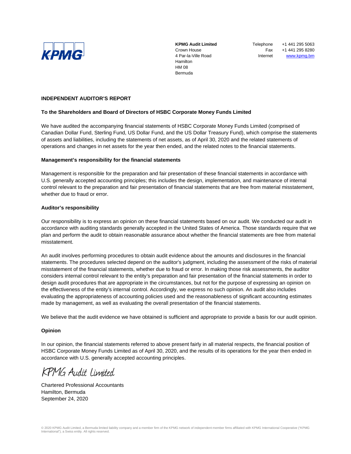

**KPMG Audit Limited** Crown House 4 Par-la-Ville Road Hamilton HM 08 Bermuda

**Telephone** Fax Internet +1 441 295 5063 +1 441 295 8280 [www.kpmg.bm](http://www.kpmg.bm/)

#### **INDEPENDENT AUDITOR'S REPORT**

#### **To the Shareholders and Board of Directors of HSBC Corporate Money Funds Limited**

We have audited the accompanying financial statements of HSBC Corporate Money Funds Limited (comprised of Canadian Dollar Fund, Sterling Fund, US Dollar Fund, and the US Dollar Treasury Fund), which comprise the statements of assets and liabilities, including the statements of net assets, as of April 30, 2020 and the related statements of operations and changes in net assets for the year then ended, and the related notes to the financial statements.

#### **Management's responsibility for the financial statements**

Management is responsible for the preparation and fair presentation of these financial statements in accordance with U.S. generally accepted accounting principles; this includes the design, implementation, and maintenance of internal control relevant to the preparation and fair presentation of financial statements that are free from material misstatement, whether due to fraud or error.

#### **Auditor's responsibility**

Our responsibility is to express an opinion on these financial statements based on our audit. We conducted our audit in accordance with auditing standards generally accepted in the United States of America. Those standards require that we plan and perform the audit to obtain reasonable assurance about whether the financial statements are free from material misstatement.

An audit involves performing procedures to obtain audit evidence about the amounts and disclosures in the financial statements. The procedures selected depend on the auditor's judgment, including the assessment of the risks of material misstatement of the financial statements, whether due to fraud or error. In making those risk assessments, the auditor considers internal control relevant to the entity's preparation and fair presentation of the financial statements in order to design audit procedures that are appropriate in the circumstances, but not for the purpose of expressing an opinion on the effectiveness of the entity's internal control. Accordingly, we express no such opinion. An audit also includes evaluating the appropriateness of accounting policies used and the reasonableness of significant accounting estimates made by management, as well as evaluating the overall presentation of the financial statements.

We believe that the audit evidence we have obtained is sufficient and appropriate to provide a basis for our audit opinion.

#### **Opinion**

In our opinion, the financial statements referred to above present fairly in all material respects, the financial position of HSBC Corporate Money Funds Limited as of April 30, 2020, and the results of its operations for the year then ended in accordance with U.S. generally accepted accounting principles.

KPMG Audit Limited

Chartered Professional Accountants Hamilton, Bermuda September 24, 2020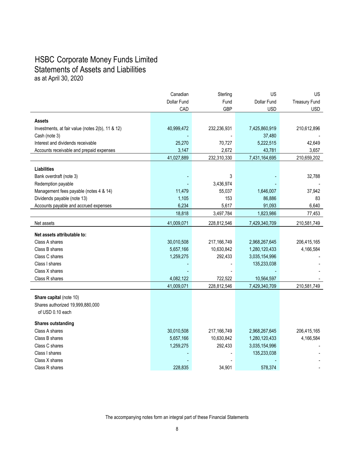### HSBC Corporate Money Funds Limited Statements of Assets and Liabilities as at April 30, 2020

|                                                  | Canadian       | Sterling      | <b>US</b>           | <b>US</b>            |
|--------------------------------------------------|----------------|---------------|---------------------|----------------------|
|                                                  | Dollar Fund    | Fund          | Dollar Fund         | <b>Treasury Fund</b> |
|                                                  | CAD            | <b>GBP</b>    | <b>USD</b>          | <b>USD</b>           |
| <b>Assets</b>                                    |                |               |                     |                      |
| Investments, at fair value (notes 2(b), 11 & 12) | 40,999,472     | 232,236,931   | 7,425,860,919       | 210,612,896          |
| Cash (note 3)                                    |                |               | 37,480              |                      |
| Interest and dividends receivable                | 25,270         | 70,727        | 5,222,515           | 42,649               |
| Accounts receivable and prepaid expenses         | 3,147          | 2,672         | 43,781              | 3,657                |
|                                                  | 41,027,889     | 232,310,330   | 7,431,164,695       | 210,659,202          |
|                                                  |                |               |                     |                      |
| <b>Liabilities</b>                               |                |               |                     |                      |
| Bank overdraft (note 3)                          |                | 3             |                     | 32,788               |
| Redemption payable                               |                | 3,436,974     |                     |                      |
| Management fees payable (notes 4 & 14)           | 11,479         | 55,037<br>153 | 1,646,007<br>86,886 | 37,942<br>83         |
| Dividends payable (note 13)                      | 1,105<br>6,234 | 5,617         | 91,093              | 6,640                |
| Accounts payable and accrued expenses            |                |               |                     |                      |
|                                                  | 18,818         | 3,497,784     | 1,823,986           | 77,453               |
| Net assets                                       | 41,009,071     | 228,812,546   | 7,429,340,709       | 210,581,749          |
| Net assets attributable to:                      |                |               |                     |                      |
| Class A shares                                   | 30,010,508     | 217,166,749   | 2,968,267,645       | 206,415,165          |
| Class B shares                                   | 5,657,166      | 10,630,842    | 1,280,120,433       | 4,166,584            |
| Class C shares                                   | 1,259,275      | 292,433       | 3,035,154,996       |                      |
| Class I shares                                   |                |               | 135,233,038         |                      |
| Class X shares                                   |                |               |                     |                      |
| Class R shares                                   | 4,082,122      | 722,522       | 10,564,597          |                      |
|                                                  | 41,009,071     | 228,812,546   | 7,429,340,709       | 210,581,749          |
| Share capital (note 10)                          |                |               |                     |                      |
| Shares authorized 19,999,880,000                 |                |               |                     |                      |
| of USD 0.10 each                                 |                |               |                     |                      |
| <b>Shares outstanding</b>                        |                |               |                     |                      |
| Class A shares                                   | 30,010,508     | 217,166,749   | 2,968,267,645       | 206,415,165          |
| Class B shares                                   | 5,657,166      | 10,630,842    | 1,280,120,433       | 4,166,584            |
| Class C shares                                   | 1,259,275      | 292,433       | 3,035,154,996       |                      |
| Class I shares                                   |                |               | 135,233,038         |                      |
| Class X shares                                   |                |               |                     |                      |
| Class R shares                                   | 228,835        | 34,901        | 578,374             |                      |
|                                                  |                |               |                     |                      |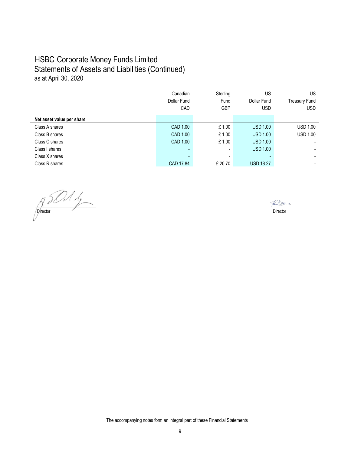### HSBC Corporate Money Funds Limited Statements of Assets and Liabilities (Continued) as at April 30, 2020

|                           | Canadian<br>Dollar Fund | Sterling<br>Fund         | US<br>Dollar Fund | US<br><b>Treasury Fund</b> |
|---------------------------|-------------------------|--------------------------|-------------------|----------------------------|
|                           | CAD                     | <b>GBP</b>               | <b>USD</b>        | <b>USD</b>                 |
| Net asset value per share |                         |                          |                   |                            |
| Class A shares            | CAD 1.00                | £1.00                    | <b>USD 1.00</b>   | <b>USD 1.00</b>            |
| Class B shares            | CAD 1.00                | £1.00                    | <b>USD 1.00</b>   | <b>USD 1.00</b>            |
| Class C shares            | CAD 1.00                | £1.00                    | <b>USD 1.00</b>   |                            |
| Class I shares            |                         | $\overline{\phantom{a}}$ | <b>USD 1.00</b>   |                            |
| Class X shares            |                         | $\overline{\phantom{a}}$ |                   |                            |
| Class R shares            | CAD 17.84               | £ 20.70                  | <b>USD 18.27</b>  |                            |

 $\sqrt{2}$ **Director** Director **Director** Director

Fair Dowe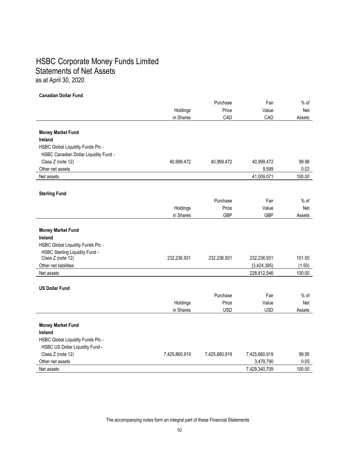### HSBC Corporate Money Funds Limited Statements of Net Assets as at April 30, 2020

#### **Canadian Dollar Fund**

|                                       |               | Purchase      | Fair          | $%$ of |
|---------------------------------------|---------------|---------------|---------------|--------|
|                                       | Holdings      | Price         | Value         | Net    |
|                                       | in Shares     | CAD           | CAD           | Assets |
|                                       |               |               |               |        |
| <b>Money Market Fund</b>              |               |               |               |        |
| <b>Ireland</b>                        |               |               |               |        |
| HSBC Global Liquidity Funds Plc -     |               |               |               |        |
| HSBC Canadian Dollar Liquidity Fund - |               |               |               |        |
| Class Z (note 12)                     | 40,999,472    | 40,999,472    | 40,999,472    | 99.98  |
| Other net assets                      |               |               | 9,599         | 0.02   |
| Net assets                            |               |               | 41,009,071    | 100.00 |
|                                       |               |               |               |        |
| <b>Sterling Fund</b>                  |               |               |               |        |
|                                       |               | Purchase      | Fair          | $%$ of |
|                                       | Holdings      | Price         | Value         | Net    |
|                                       | in Shares     | <b>GBP</b>    | <b>GBP</b>    | Assets |
|                                       |               |               |               |        |
| <b>Money Market Fund</b>              |               |               |               |        |
| <b>Ireland</b>                        |               |               |               |        |
| HSBC Global Liquidity Funds Plc -     |               |               |               |        |
| HSBC Sterling Liquidity Fund -        |               |               |               |        |
| Class Z (note 12)                     | 232,236,931   | 232,236,931   | 232,236,931   | 101.50 |
| Other net liabilities                 |               |               | (3,424,385)   | (1.50) |
| Net assets                            |               |               | 228,812,546   | 100.00 |
| <b>US Dollar Fund</b>                 |               |               |               |        |
|                                       |               | Purchase      | Fair          | $%$ of |
|                                       | Holdings      | Price         | Value         | Net    |
|                                       | in Shares     | <b>USD</b>    | <b>USD</b>    | Assets |
|                                       |               |               |               |        |
| <b>Money Market Fund</b>              |               |               |               |        |
| <b>Ireland</b>                        |               |               |               |        |
| HSBC Global Liquidity Funds Plc -     |               |               |               |        |
| HSBC US Dollar Liquidity Fund -       |               |               |               |        |
| Class Z (note 12)                     | 7,425,860,919 | 7,425,860,919 | 7,425,860,919 | 99.95  |
| Other net assets                      |               |               | 3,479,790     | 0.05   |
| Net assets                            |               |               | 7,429,340,709 | 100.00 |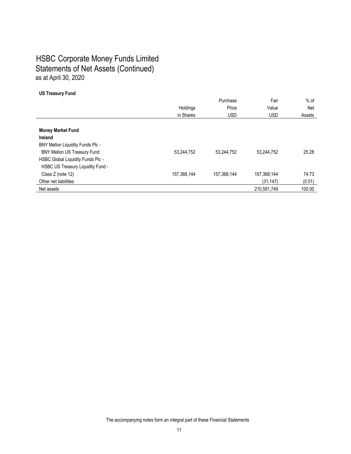### HSBC Corporate Money Funds Limited Statements of Net Assets (Continued) as at April 30, 2020

#### **US Treasury Fund**

|                                    |             | Purchase    | Fair        | $%$ of |
|------------------------------------|-------------|-------------|-------------|--------|
|                                    | Holdings    | Price       | Value       | Net    |
|                                    | in Shares   | <b>USD</b>  | <b>USD</b>  | Assets |
|                                    |             |             |             |        |
| <b>Money Market Fund</b>           |             |             |             |        |
| <b>Ireland</b>                     |             |             |             |        |
| BNY Mellon Liquidity Funds Plc -   |             |             |             |        |
| <b>BNY Mellon US Treasury Fund</b> | 53,244,752  | 53,244,752  | 53,244,752  | 25.28  |
| HSBC Global Liquidity Funds Plc -  |             |             |             |        |
| HSBC US Treasury Liquidity Fund -  |             |             |             |        |
| Class Z (note 12)                  | 157,368,144 | 157,368,144 | 157,368,144 | 74.73  |
| Other net liabilities              |             |             | (31, 147)   | (0.01) |
| Net assets                         |             |             | 210.581.749 | 100.00 |
|                                    |             |             |             |        |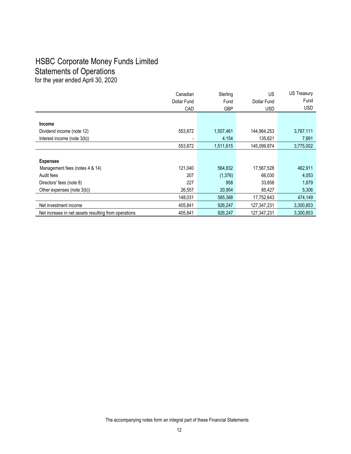### HSBC Corporate Money Funds Limited Statements of Operations

for the year ended April 30, 2020

|                                                      | Canadian    | Sterling   | <b>US</b>   | <b>US Treasury</b> |
|------------------------------------------------------|-------------|------------|-------------|--------------------|
|                                                      | Dollar Fund | Fund       | Dollar Fund | Fund               |
|                                                      | CAD         | <b>GBP</b> | <b>USD</b>  | <b>USD</b>         |
|                                                      |             |            |             |                    |
| <b>Income</b>                                        |             |            |             |                    |
| Dividend income (note 12)                            | 553,872     | 1,507,461  | 144,964,253 | 3,767,111          |
| Interest income (note 3(b))                          |             | 4,154      | 135,621     | 7,891              |
|                                                      | 553.872     | 1,511,615  | 145,099,874 | 3,775,002          |
|                                                      |             |            |             |                    |
| <b>Expenses</b>                                      |             |            |             |                    |
| Management fees (notes 4 & 14)                       | 121,040     | 564,832    | 17,567,528  | 462,911            |
| Audit fees                                           | 207         | (1,376)    | 66,030      | 4,053              |
| Directors' fees (note 8)                             | 227         | 958        | 33,658      | 1,879              |
| Other expenses (note 3(b))                           | 26,557      | 20,954     | 85,427      | 5,306              |
|                                                      | 148,031     | 585,368    | 17,752,643  | 474,149            |
| Net investment income                                | 405,841     | 926,247    | 127,347,231 | 3,300,853          |
| Net increase in net assets resulting from operations | 405,841     | 926,247    | 127,347,231 | 3,300,853          |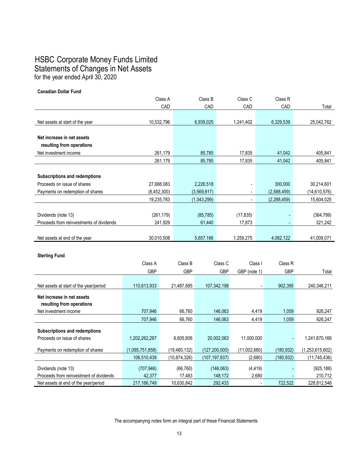### HSBC Corporate Money Funds Limited Statements of Changes in Net Assets for the year ended April 30, 2020

**Canadian Dollar Fund**

|                                          |                 | Class A    |                | Class B         |             | Class C                  |                | Class <sub>R</sub> |                 |
|------------------------------------------|-----------------|------------|----------------|-----------------|-------------|--------------------------|----------------|--------------------|-----------------|
|                                          |                 | CAD        |                | CAD             |             | CAD                      |                | CAD                | Total           |
|                                          |                 |            |                |                 |             |                          |                |                    |                 |
| Net assets at start of the year          | 10,532,796      |            |                | 6,939,025       |             | 1,241,402                |                | 6,329,539          | 25,042,762      |
|                                          |                 |            |                |                 |             |                          |                |                    |                 |
| Net increase in net assets               |                 |            |                |                 |             |                          |                |                    |                 |
| resulting from operations                |                 |            |                |                 |             |                          |                |                    |                 |
| Net investment income                    |                 | 261,179    |                | 85,785          |             | 17,835                   |                | 41,042             | 405,841         |
|                                          |                 | 261,179    |                | 85,785          |             | 17,835                   |                | 41,042             | 405,841         |
|                                          |                 |            |                |                 |             |                          |                |                    |                 |
| <b>Subscriptions and redemptions</b>     |                 |            |                |                 |             |                          |                |                    |                 |
| Proceeds on issue of shares              | 27,688,083      |            |                | 2,226,518       |             | $\overline{a}$           |                | 300,000            | 30,214,601      |
| Payments on redemption of shares         | (8,452,300)     |            |                | (3,569,817)     |             | $\overline{\phantom{a}}$ |                | (2,588,459)        | (14, 610, 576)  |
|                                          | 19,235,783      |            |                | (1,343,299)     |             |                          |                | (2, 288, 459)      | 15,604,025      |
|                                          |                 |            |                |                 |             |                          |                |                    |                 |
| Dividends (note 13)                      |                 | (261, 179) |                | (85, 785)       |             | (17, 835)                |                |                    | (364, 799)      |
| Proceeds from reinvestments of dividends |                 | 241,929    |                | 61,440          |             | 17,873                   |                |                    | 321,242         |
|                                          |                 |            |                |                 |             |                          |                |                    |                 |
| Net assets at end of the year            | 30,010,508      |            |                | 5,657,166       |             | 1,259,275                |                | 4,082,122          | 41,009,071      |
|                                          |                 |            |                |                 |             |                          |                |                    |                 |
| <b>Sterling Fund</b>                     |                 |            |                |                 |             |                          |                |                    |                 |
|                                          | Class A         |            | Class B        |                 | Class C     | Class I                  |                | Class <sub>R</sub> |                 |
|                                          |                 |            |                |                 |             |                          |                |                    |                 |
|                                          | <b>GBP</b>      |            | <b>GBP</b>     |                 | GBP         | GBP (note 1)             |                | <b>GBP</b>         | Total           |
|                                          | 110,613,933     |            | 21,487,685     |                 |             |                          |                | 902,395            | 240,346,211     |
| Net assets at start of the year/period   |                 |            |                |                 | 107,342,198 |                          |                |                    |                 |
| Net increase in net assets               |                 |            |                |                 |             |                          |                |                    |                 |
| resulting from operations                |                 |            |                |                 |             |                          |                |                    |                 |
| Net investment income                    | 707,946         |            | 66,760         |                 | 146,063     |                          | 4,419          | 1,059              | 926,247         |
|                                          | 707,946         |            | 66,760         |                 | 146,063     |                          | 4,419          | 1,059              | 926,247         |
| <b>Subscriptions and redemptions</b>     |                 |            |                |                 |             |                          |                |                    |                 |
| Proceeds on issue of shares              | 1,202,262,297   |            | 8,605,806      |                 | 20,002,063  | 11,000,000               |                |                    | 1,241,870,166   |
|                                          |                 |            |                |                 |             |                          |                |                    |                 |
| Payments on redemption of shares         | (1,095,751,858) |            | (19, 480, 132) | (127, 200, 000) |             | (11,002,680)             |                | (180, 932)         | (1,253,615,602) |
|                                          | 106,510,439     |            | (10, 874, 326) | (107, 197, 937) |             | (2,680)                  |                | (180, 932)         | (11, 745, 436)  |
| Dividends (note 13)                      | (707, 946)      |            | (66, 760)      |                 | (146, 063)  | (4, 419)                 |                |                    | (925, 188)      |
| Proceeds from reinvestment of dividends  | 42,377          |            | 17,483         |                 | 148,172     |                          | 2,680          |                    | 210,712         |
| Net assets at end of the year/period     | 217, 166, 749   |            | 10,630,842     |                 | 292,433     |                          | $\overline{a}$ | 722.522            | 228,812,546     |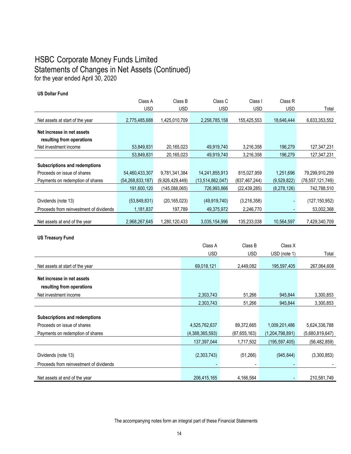### HSBC Corporate Money Funds Limited Statements of Changes in Net Assets (Continued) for the year ended April 30, 2020

#### **US Dollar Fund**

|                                         | Class A          | Class B         | Class C          | Class I         | Class R     |                  |
|-----------------------------------------|------------------|-----------------|------------------|-----------------|-------------|------------------|
|                                         | <b>USD</b>       | <b>USD</b>      | <b>USD</b>       | <b>USD</b>      | <b>USD</b>  | Total            |
| Net assets at start of the year         | 2,775,485,688    | 425,010,709     | 2,258,785,158    | 155,425,553     | 18,646,444  | 6,633,353,552    |
| Net increase in net assets              |                  |                 |                  |                 |             |                  |
| resulting from operations               |                  |                 |                  |                 |             |                  |
| Net investment income                   | 53,849,831       | 20,165,023      | 49,919,740       | 3,216,358       | 196,279     | 127,347,231      |
|                                         | 53,849,831       | 20,165,023      | 49,919,740       | 3,216,358       | 196,279     | 127,347,231      |
| Subscriptions and redemptions           |                  |                 |                  |                 |             |                  |
| Proceeds on issue of shares             | 54,460,433,307   | 9,781,341,384   | 14,241,855,913   | 815,027,959     | 1,251,696   | 79,299,910,259   |
| Payments on redemption of shares        | (54,268,833,187) | (9,926,429,449) | (13,514,862,047) | (837, 467, 244) | (9,529,822) | (78,557,121,749) |
|                                         | 191,600,120      | (145,088,065)   | 726,993,866      | (22, 439, 285)  | (8,278,126) | 742,788,510      |
| Dividends (note 13)                     | (53,849,831)     | (20, 165, 023)  | (49, 919, 740)   | (3,216,358)     |             | (127,150,952)    |
| Proceeds from reinvestment of dividends | 1,181,837        | 197,789         | 49,375,972       | 2,246,770       |             | 53,002,368       |
| Net assets at end of the year           | 2.968.267.645    | 1,280,120,433   | 3,035,154,996    | 135,233,038     | 10,564,597  | 7,429,340,709    |

**US Treasury Fund**

|                                         | Class A         | Class B        | Class X         |                 |
|-----------------------------------------|-----------------|----------------|-----------------|-----------------|
|                                         | <b>USD</b>      | <b>USD</b>     | USD (note 1)    | Total           |
|                                         |                 |                |                 |                 |
| Net assets at start of the year         | 69,018,121      | 2,449,082      | 195,597,405     | 267,064,608     |
| Net increase in net assets              |                 |                |                 |                 |
| resulting from operations               |                 |                |                 |                 |
| Net investment income                   | 2,303,743       | 51,266         | 945,844         | 3,300,853       |
|                                         | 2,303,743       | 51,266         | 945,844         | 3,300,853       |
|                                         |                 |                |                 |                 |
| <b>Subscriptions and redemptions</b>    |                 |                |                 |                 |
| Proceeds on issue of shares             | 4,525,762,637   | 89,372,665     | 1,009,201,486   | 5,624,336,788   |
| Payments on redemption of shares        | (4,388,365,593) | (87, 655, 163) | (1,204,798,891) | (5,680,819,647) |
|                                         | 137,397,044     | 1,717,502      | (195,597,405)   | (56, 482, 859)  |
|                                         |                 |                |                 |                 |
| Dividends (note 13)                     | (2,303,743)     | (51,266)       | (945, 844)      | (3,300,853)     |
| Proceeds from reinvestment of dividends |                 |                |                 |                 |
|                                         |                 |                |                 |                 |
| Net assets at end of the year           | 206,415,165     | 4,166,584      |                 | 210,581,749     |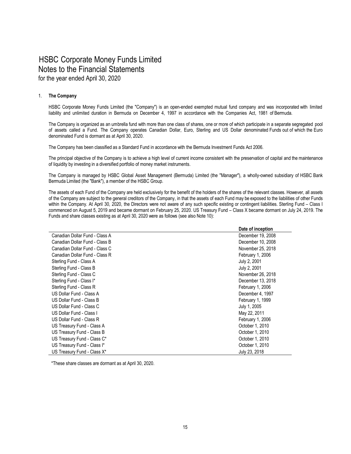#### 1. **The Company**

HSBC Corporate Money Funds Limited (the "Company") is an open-ended exempted mutual fund company and was incorporated with limited liability and unlimited duration in Bermuda on December 4, 1997 in accordance with the Companies Act, 1981 of Bermuda.

The Company is organized as an umbrella fund with more than one class of shares, one or more of which participate in a separate segregated pool of assets called a Fund. The Company operates Canadian Dollar, Euro, Sterling and US Dollar denominated Funds out of which the Euro denominated Fund is dormant as at April 30, 2020.

The Company has been classified as a Standard Fund in accordance with the Bermuda Investment Funds Act 2006.

The principal objective of the Company is to achieve a high level of current income consistent with the preservation of capital and the maintenance of liquidity by investing in a diversified portfolio of money market instruments.

The Company is managed by HSBC Global Asset Management (Bermuda) Limited (the "Manager"), a wholly-owned subsidiary of HSBC Bank Bermuda Limited (the "Bank"), a member of the HSBC Group.

The assets of each Fund of the Company are held exclusively for the benefit of the holders of the shares of the relevant classes. However, all assets of the Company are subject to the general creditors of the Company, in that the assets of each Fund may be exposed to the liabilities of other Funds within the Company. At April 30, 2020, the Directors were not aware of any such specific existing or contingent liabilities. Sterling Fund – Class I commenced on August 5, 2019 and became dormant on February 25, 2020. US Treasury Fund – Class X became dormant on July 24, 2019. The Funds and share classes existing as at April 30, 2020 were as follows (see also Note 10):

|                                | Date of inception |
|--------------------------------|-------------------|
| Canadian Dollar Fund - Class A | December 19, 2008 |
| Canadian Dollar Fund - Class B | December 10, 2008 |
| Canadian Dollar Fund - Class C | November 25, 2018 |
| Canadian Dollar Fund - Class R | February 1, 2006  |
| Sterling Fund - Class A        | July 2, 2001      |
| Sterling Fund - Class B        | July 2, 2001      |
| Sterling Fund - Class C        | November 26, 2018 |
| Sterling Fund - Class I*       | December 13, 2018 |
| Sterling Fund - Class R        | February 1, 2006  |
| US Dollar Fund - Class A       | December 4, 1997  |
| US Dollar Fund - Class B       | February 1, 1999  |
| US Dollar Fund - Class C       | July 1, 2005      |
| US Dollar Fund - Class I       | May 22, 2011      |
| US Dollar Fund - Class R       | February 1, 2006  |
| US Treasury Fund - Class A     | October 1, 2010   |
| US Treasury Fund - Class B     | October 1, 2010   |
| US Treasury Fund - Class C*    | October 1, 2010   |
| US Treasury Fund - Class I*    | October 1, 2010   |
| US Treasury Fund - Class X*    | July 23, 2018     |

\*These share classes are dormant as at April 30, 2020.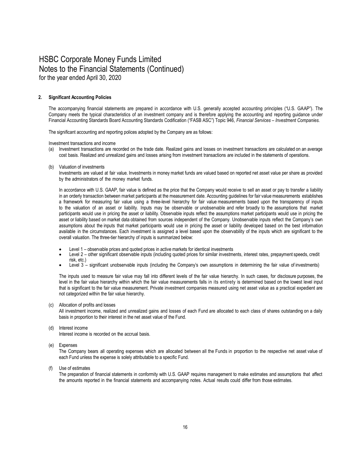#### **2. Significant Accounting Policies**

The accompanying financial statements are prepared in accordance with U.S. generally accepted accounting principles ("U.S. GAAP"). The Company meets the typical characteristics of an investment company and is therefore applying the accounting and reporting guidance under Financial Accounting Standards Board Accounting Standards Codification ("FASB ASC") Topic 946, *Financial Services – Investment Companies.*

The significant accounting and reporting polices adopted by the Company are as follows:

Investment transactions and income

- (a) Investment transactions are recorded on the trade date. Realized gains and losses on investment transactions are calculated on an average cost basis. Realized and unrealized gains and losses arising from investment transactions are included in the statements of operations.
- (b) Valuation of investments

Investments are valued at fair value. Investments in money market funds are valued based on reported net asset value per share as provided by the administrators of the money market funds.

In accordance with U.S. GAAP, fair value is defined as the price that the Company would receive to sell an asset or pay to transfer a liability in an orderly transaction between market participants at the measurement date. Accounting guidelines for fair value measurements establishes a framework for measuring fair value using a three-level hierarchy for fair value measurements based upon the transparency of inputs to the valuation of an asset or liability. Inputs may be observable or unobservable and refer broadly to the assumptions that market participants would use in pricing the asset or liability. Observable inputs reflect the assumptions market participants would use in pricing the asset or liability based on market data obtained from sources independent of the Company. Unobservable inputs reflect the Company's own assumptions about the inputs that market participants would use in pricing the asset or liability developed based on the best information available in the circumstances. Each investment is assigned a level based upon the observability of the inputs which are significant to the overall valuation. The three-tier hierarchy of inputs is summarized below:

- Level 1 observable prices and quoted prices in active markets for identical investments
- Level 2 other significant observable inputs (including quoted prices for similar investments, interest rates, prepayment speeds, credit risk, etc.)
- Level 3 significant unobservable inputs (including the Company's own assumptions in determining the fair value of investments)

The inputs used to measure fair value may fall into different levels of the fair value hierarchy. In such cases, for disclosure purposes, the level in the fair value hierarchy within which the fair value measurements falls in its entirety is determined based on the lowest level input that is significant to the fair value measurement. Private investment companies measured using net asset value as a practical expedient are not categorized within the fair value hierarchy.

(c) Allocation of profits and losses

All investment income, realized and unrealized gains and losses of each Fund are allocated to each class of shares outstanding on a daily basis in proportion to their interest in the net asset value of the Fund.

(d) Interest income

Interest income is recorded on the accrual basis.

(e) Expenses

The Company bears all operating expenses which are allocated between all the Funds in proportion to the respective net asset value of each Fund unless the expense is solely attributable to a specific Fund.

(f) Use of estimates

The preparation of financial statements in conformity with U.S. GAAP requires management to make estimates and assumptions that affect the amounts reported in the financial statements and accompanying notes. Actual results could differ from those estimates.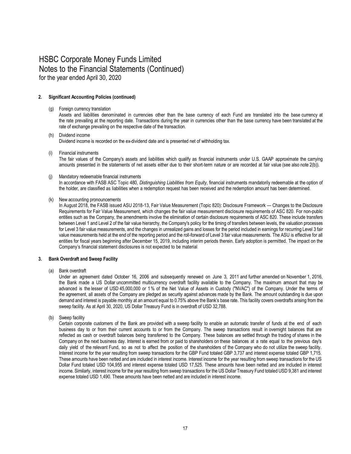#### **2. Significant Accounting Policies (continued)**

#### (g) Foreign currency translation

Assets and liabilities denominated in currencies other than the base currency of each Fund are translated into the base currency at the rate prevailing at the reporting date. Transactions during the year in currencies other than the base currency have been translated at the rate of exchange prevailing on the respective date of the transaction.

#### (h) Dividend income Dividend income is recorded on the ex-dividend date and is presented net of withholding tax.

(i) Financial instruments

The fair values of the Company's assets and liabilities which qualify as financial instruments under U.S. GAAP approximate the carrying amounts presented in the statements of net assets either due to their short-term nature or are recorded at fair value (see also note 2(b)).

#### (j) Mandatory redeemable financial instruments

In accordance with FASB ASC Topic 480, *Distinguishing Liabilities from Equity*, financial instruments mandatorily redeemable at the option of the holder, are classified as liabilities when a redemption request has been received and the redemption amount has been determined.

(k) New accounting pronouncements

In August 2018, the FASB issued ASU 2018-13, Fair Value Measurement (Topic 820): Disclosure Framework — Changes to the Disclosure Requirements for Fair Value Measurement, which changes the fair value measurement disclosure requirements of ASC 820. For non-public entities such as the Company, the amendments involve the elimination of certain disclosure requirements of ASC 820. These include transfers between Level 1 and Level 2 of the fair value hierarchy, the Company's policy for the timing of transfers between levels, the valuation processes for Level 3 fair value measurements, and the changes in unrealized gains and losses for the period included in earnings for recurring Level 3 fair value measurements held at the end of the reporting period and the roll-forward of Level 3 fair value measurements. The ASU is effective for all entities for fiscal years beginning after December 15, 2019, including interim periods therein. Early adoption is permitted. The impact on the Company's financial statement disclosures is not expected to be material.

#### **3. Bank Overdraft and Sweep Facility**

(a) Bank overdraft

Under an agreement dated October 16, 2006 and subsequently renewed on June 3, 2011 and further amended on November 1, 2016, the Bank made a US Dollar uncommitted multicurrency overdraft facility available to the Company. The maximum amount that may be advanced is the lesser of USD 45,000,000 or 1% of the Net Value of Assets in Custody ("NVAC") of the Company. Under the terms of the agreement, all assets of the Company are pledged as security against advances made by the Bank. The amount outstanding is due upon demand and interest is payable monthly at an amount equal to 0.75% above the Bank's base rate. This facility covers overdrafts arising from the sweep facility. As at April 30, 2020, US Dollar Treasury Fund is in overdraft of USD 32,788.

(b) Sweep facility

Certain corporate customers of the Bank are provided with a sweep facility to enable an automatic transfer of funds at the end of each business day to or from their current accounts to or from the Company. The sweep transactions result in overnight balances that are reflected as cash or overdraft balances being transferred to the Company. These balances are settled through the trading of shares in the Company on the next business day. Interest is earned from or paid to shareholders on these balances at a rate equal to the previous day's daily yield of the relevant Fund, so as not to affect the position of the shareholders of the Company who do not utilize the sweep facility. Interest income for the year resulting from sweep transactions for the GBP Fund totaled GBP 3,737 and interest expense totaled GBP 1,715. These amounts have been netted and are included in interest income. Interest income for the year resulting from sweep transactions for the US Dollar Fund totaled USD 104,955 and interest expense totaled USD 17,525. These amounts have been netted and are included in interest income. Similarly, interest income for the year resulting from sweep transactions for the US Dollar Treasury Fund totaled USD 9,381 and interest expense totaled USD 1,490. These amounts have been netted and are included in interest income.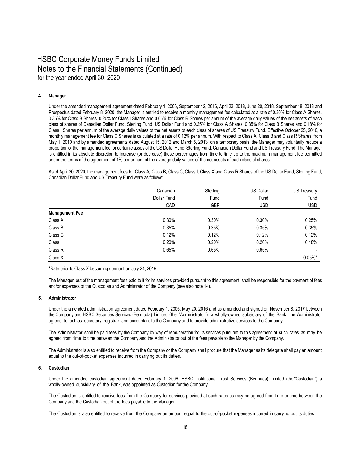#### **4. Manager**

Under the amended management agreement dated February 1, 2006, September 12, 2016, April 23, 2018, June 20, 2018, September 18, 2018 and Prospectus dated February 8, 2020, the Manager is entitled to receive a monthly management fee calculated at a rate of 0.30% for Class A Shares, 0.35% for Class B Shares, 0.20% for Class I Shares and 0.65% for Class R Shares per annum of the average daily values of the net assets of each class of shares of Canadian Dollar Fund, Sterling Fund, US Dollar Fund and 0.25% for Class A Shares, 0.35% for Class B Shares and 0.18% for Class I Shares per annum of the average daily values of the net assets of each class of shares of US Treasury Fund. Effective October 25, 2010, a monthly management fee for Class C Shares is calculated at a rate of 0.12% per annum. With respect to Class A, Class B and Class R Shares, from May 1, 2010 and by amended agreements dated August 15, 2012 and March 5, 2013, on a temporary basis, the Manager may voluntarily reduce a proportion of the management fee for certain classes of the US Dollar Fund, Sterling Fund, Canadian Dollar Fund and US Treasury Fund. The Manager is entitled in its absolute discretion to increase (or decrease) these percentages from time to time up to the maximum management fee permitted under the terms of the agreement of 1% per annum of the average daily values of the net assets of each class of shares.

As of April 30, 2020, the management fees for Class A, Class B, Class C, Class I, Class X and Class R Shares of the US Dollar Fund, Sterling Fund, Canadian Dollar Fund and US Treasury Fund were as follows:

|                       | Canadian                 | Sterling   | US Dollar      | US Treasury    |
|-----------------------|--------------------------|------------|----------------|----------------|
|                       | Dollar Fund              | Fund       | Fund           | Fund           |
|                       | CAD                      | <b>GBP</b> | <b>USD</b>     | <b>USD</b>     |
| <b>Management Fee</b> |                          |            |                |                |
| Class A               | 0.30%                    | 0.30%      | 0.30%          | 0.25%          |
| Class B               | 0.35%                    | 0.35%      | 0.35%          | 0.35%          |
| Class C               | 0.12%                    | 0.12%      | 0.12%          | 0.12%          |
| Class I               | 0.20%                    | 0.20%      | 0.20%          | 0.18%          |
| Class R               | 0.65%                    | 0.65%      | 0.65%          | $\blacksquare$ |
| Class X               | $\overline{\phantom{a}}$ | -          | $\blacksquare$ | $0.05\%$ *     |

\*Rate prior to Class X becoming dormant on July 24, 2019.

The Manager, out of the management fees paid to it for its services provided pursuant to this agreement, shall be responsible for the payment of fees and/or expenses of the Custodian and Administrator of the Company (see also note 14).

#### **5. Administrator**

Under the amended administration agreement dated February 1, 2006, May 20, 2016 and as amended and signed on November 8, 2017 between the Company and HSBC Securities Services (Bermuda) Limited (the "Administrator"), a wholly-owned subsidiary of the Bank, the Administrator agreed to act as secretary, registrar, and accountant to the Company and to provide administrative services to the Company.

The Administrator shall be paid fees by the Company by way of remuneration for its services pursuant to this agreement at such rates as may be agreed from time to time between the Company and the Administrator out of the fees payable to the Manager by the Company.

The Administrator is also entitled to receive from the Company or the Company shall procure that the Manager as its delegate shall pay an amount equal to the out-of-pocket expenses incurred in carrying out its duties.

#### **6. Custodian**

Under the amended custodian agreement dated February 1, 2006, HSBC Institutional Trust Services (Bermuda) Limited (the "Custodian"), a wholly-owned subsidiary of the Bank, was appointed as Custodian for the Company.

The Custodian is entitled to receive fees from the Company for services provided at such rates as may be agreed from time to time between the Company and the Custodian out of the fees payable to the Manager.

The Custodian is also entitled to receive from the Company an amount equal to the out-of-pocket expenses incurred in carrying out its duties.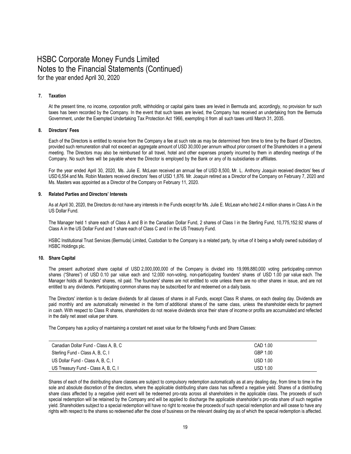#### **7. Taxation**

At the present time, no income, corporation profit, withholding or capital gains taxes are levied in Bermuda and, accordingly, no provision for such taxes has been recorded by the Company. In the event that such taxes are levied, the Company has received an undertaking from the Bermuda Government, under the Exempted Undertaking Tax Protection Act 1966, exempting it from all such taxes until March 31, 2035.

#### **8. Directors' Fees**

Each of the Directors is entitled to receive from the Company a fee at such rate as may be determined from time to time by the Board of Directors, provided such remuneration shall not exceed an aggregate amount of USD 30,000 per annum without prior consent of the Shareholders in a general meeting. The Directors may also be reimbursed for all travel, hotel and other expenses properly incurred by them in attending meetings of the Company. No such fees will be payable where the Director is employed by the Bank or any of its subsidiaries or affiliates.

For the year ended April 30, 2020, Ms. Julie E. McLean received an annual fee of USD 8,500, Mr. L. Anthony Joaquin received directors' fees of USD 6,554 and Ms. Robin Masters received directors' fees of USD 1,876. Mr. Joaquin retired as a Director of the Company on February 7, 2020 and Ms. Masters was appointed as a Director of the Company on February 11, 2020.

#### **9. Related Parties and Directors' Interests**

As at April 30, 2020, the Directors do not have any interests in the Funds except for Ms. Julie E. McLean who held 2.4 million shares in Class A in the US Dollar Fund.

The Manager held 1 share each of Class A and B in the Canadian Dollar Fund, 2 shares of Class I in the Sterling Fund, 10,775,152.92 shares of Class A in the US Dollar Fund and 1 share each of Class C and I in the US Treasury Fund.

HSBC Institutional Trust Services (Bermuda) Limited, Custodian to the Company is a related party, by virtue of it being a wholly owned subsidiary of HSBC Holdings plc.

#### **10. Share Capital**

The present authorized share capital of USD 2,000,000,000 of the Company is divided into 19,999,880,000 voting participating common shares ("Shares") of USD 0.10 par value each and 12,000 non-voting, non-participating founders' shares of USD 1.00 par value each. The Manager holds all founders' shares, nil paid. The founders' shares are not entitled to vote unless there are no other shares in issue, and are not entitled to any dividends. Participating common shares may be subscribed for and redeemed on a daily basis.

The Directors' intention is to declare dividends for all classes of shares in all Funds, except Class R shares, on each dealing day. Dividends are paid monthly and are automatically reinvested in the form of additional shares of the same class, unless the shareholder elects for payment in cash. With respect to Class R shares, shareholders do not receive dividends since their share of income or profits are accumulated and reflected in the daily net asset value per share.

The Company has a policy of maintaining a constant net asset value for the following Funds and Share Classes:

| Canadian Dollar Fund - Class A, B, C | CAD 1.00        |
|--------------------------------------|-----------------|
| Sterling Fund - Class A, B, C, I     | GBP 1.00        |
| US Dollar Fund - Class A, B, C, I    | <b>USD 1.00</b> |
| US Treasury Fund - Class A, B, C, I  | <b>USD 1.00</b> |

Shares of each of the distributing share classes are subject to compulsory redemption automatically as at any dealing day, from time to time in the sole and absolute discretion of the directors, where the applicable distributing share class has suffered a negative yield. Shares of a distributing share class affected by a negative yield event will be redeemed pro-rata across all shareholders in the applicable class. The proceeds of such special redemption will be retained by the Company and will be applied to discharge the applicable shareholder's pro-rata share of such negative yield. Shareholders subject to a special redemption will have no right to receive the proceeds of such special redemption and will cease to have any rights with respect to the shares so redeemed after the close of business on the relevant dealing day as of which the special redemption is affected.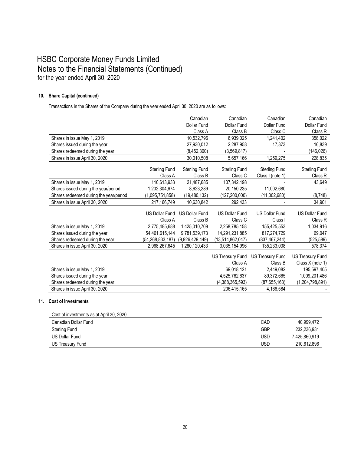#### **10. Share Capital (continued)**

Transactions in the Shares of the Company during the year ended April 30, 2020 are as follows:

|                                        |                       | Canadian              | Canadian                | Canadian                | Canadian                |
|----------------------------------------|-----------------------|-----------------------|-------------------------|-------------------------|-------------------------|
|                                        |                       | <b>Dollar Fund</b>    | Dollar Fund             | Dollar Fund             | Dollar Fund             |
|                                        |                       | Class A               | Class B                 | Class C                 | Class R                 |
| Shares in issue May 1, 2019            |                       | 10,532,796            | 6,939,025               | 1,241,402               | 358,022                 |
| Shares issued during the year          |                       | 27,930,012            | 2,287,958               | 17,873                  | 16,839                  |
| Shares redeemed during the year        |                       | (8,452,300)           | (3,569,817)             |                         | (146, 026)              |
| Shares in issue April 30, 2020         |                       | 30,010,508            | 5,657,166               | 1,259,275               | 228,835                 |
|                                        | <b>Sterling Fund</b>  | <b>Sterling Fund</b>  | Sterling Fund           | <b>Sterling Fund</b>    | <b>Sterling Fund</b>    |
|                                        | Class A               | Class B               | Class C                 | Class I (note 1)        | Class R                 |
| Shares in issue May 1, 2019            | 110,613,933           | 21,487,685            | 107,342,198             |                         | 43,649                  |
| Shares issued during the year/period   | 1,202,304,674         | 8,623,289             | 20,150,235              | 11,002,680              |                         |
| Shares redeemed during the year/period | (1,095,751,858)       | (19, 480, 132)        | (127, 200, 000)         | (11,002,680)            | (8, 748)                |
| Shares in issue April 30, 2020         | 217,166,749           | 10,630,842            | 292,433                 |                         | 34,901                  |
|                                        |                       |                       |                         |                         |                         |
|                                        | <b>US Dollar Fund</b> | <b>US Dollar Fund</b> | <b>US Dollar Fund</b>   | <b>US Dollar Fund</b>   | <b>US Dollar Fund</b>   |
|                                        | Class A               | Class B               | Class C                 | Class I                 | Class R                 |
| Shares in issue May 1, 2019            | 2,775,485,688         | 1,425,010,709         | 2,258,785,158           | 155,425,553             | 1,034,916               |
| Shares issued during the year          | 54,461,615,144        | 9,781,539,173         | 14,291,231,885          | 817.274.729             | 69,047                  |
| Shares redeemed during the year        | (54,268,833,187)      | (9,926,429,449)       | (13,514,862,047)        | (837, 467, 244)         | (525, 589)              |
| Shares in issue April 30, 2020         | 2,968,267,645         | 1,280,120,433         | 3,035,154,996           | 135,233,038             | 578,374                 |
|                                        |                       |                       | <b>US Treasury Fund</b> | <b>US Treasury Fund</b> | <b>US Treasury Fund</b> |
|                                        |                       |                       | Class A                 | Class B                 | Class X (note 1)        |
| Shares in issue May 1, 2019            |                       |                       | 69,018,121              | 2,449,082               | 195,597,405             |
| Shares issued during the year          |                       |                       | 4,525,762,637           |                         | 1,009,201,486           |
|                                        |                       |                       |                         | 89,372,665              |                         |
| Shares redeemed during the year        |                       |                       | (4,388,365,593)         | (87,655,163)            | (1,204,798,891)         |
| Shares in issue April 30, 2020         |                       |                       | 206,415,165             | 4,166,584               |                         |

#### **11. Cost of Investments**

| Cost of investments as at April 30, 2020 |     |               |
|------------------------------------------|-----|---------------|
| Canadian Dollar Fund                     | CAD | 40.999.472    |
| <b>Sterling Fund</b>                     | GBP | 232.236.931   |
| US Dollar Fund                           | USD | 7.425.860.919 |
| US Treasury Fund                         | USD | 210,612,896   |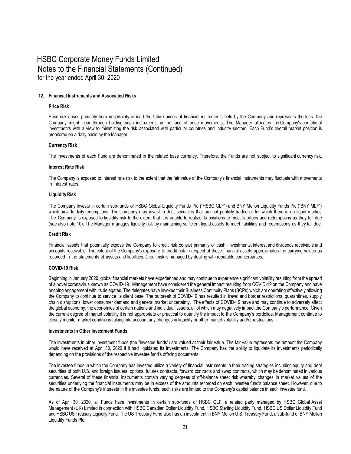#### **12. Financial Instruments and Associated Risks**

#### **Price Risk**

Price risk arises primarily from uncertainty around the future prices of financial instruments held by the Company and represents the loss the Company might incur through holding such instruments in the face of price movements. The Manager allocates the Company's portfolio of investments with a view to minimizing the risk associated with particular countries and industry sectors. Each Fund's overall market position is monitored on a daily basis by the Manager.

#### **CurrencyRisk**

The investments of each Fund are denominated in the related base currency. Therefore, the Funds are not subject to significant currency risk.

#### **Interest Rate Risk**

The Company is exposed to interest rate risk to the extent that the fair value of the Company's financial instruments may fluctuate with movements in interest rates.

#### **LiquidityRisk**

The Company invests in certain sub-funds of HSBC Global Liquidity Funds Plc ("HSBC GLF") and BNY Mellon Liquidity Funds Plc ("BNY MLF") which provide daily redemptions. The Company may invest in debt securities that are not publicly traded or for which there is no liquid market. The Company is exposed to liquidity risk to the extent that it is unable to realize its positions to meet liabilities and redemptions as they fall due (see also note 10). The Manager manages liquidity risk by maintaining sufficient liquid assets to meet liabilities and redemptions as they fall due.

#### **Credit Risk**

Financial assets that potentially expose the Company to credit risk consist primarily of cash, investments, interest and dividends receivable and accounts receivable. The extent of the Company's exposure to credit risk in respect of these financial assets approximates the carrying values as recorded in the statements of assets and liabilities. Credit risk is managed by dealing with reputable counterparties.

#### **COVID-19 Risk**

Beginning in January 2020, global financial markets have experienced and may continue to experience significant volatility resulting from the spread of a novel coronavirus known as COVID-19. Management have considered the general impact resulting from COVID-19 on the Company and have ongoing engagement with its delegates. The delegates have invoked their Business Continuity Plans (BCPs) which are operating effectively allowing the Company to continue to service its client base. The outbreak of COVID-19 has resulted in travel and border restrictions, quarantines, supply chain disruptions, lower consumer demand and general market uncertainty. The effects of COVID-19 have and may continue to adversely affect the global economy, the economies of certain nations and individual issuers, all of which may negatively impact the Company's performance. Given the current degree of market volatility it is not appropriate or practical to quantify the impact to the Company's portfolios. Management continue to closely monitor market conditions taking into account any changes in liquidity or other market volatility and/or restrictions.

#### **Investments in Other Investment Funds**

The investments in other investment funds (the "investee funds") are valued at their fair value. The fair value represents the amount the Company would have received at April 30, 2020 if it had liquidated its investments. The Company has the ability to liquidate its investments periodically depending on the provisions of the respective investee fund's offering documents.

The investee funds in which the Company has invested utilize a variety of financial instruments in their trading strategies including equity and debt securities of both U.S. and foreign issuers, options, futures contracts, forward contracts and swap contracts, which may be denominated in various currencies. Several of these financial instruments contain varying degrees of off-balance sheet risk whereby changes in market values of the securities underlying the financial instruments may be in excess of the amounts recorded on each investee fund's balance sheet. However, due to the nature of the Company's interests in the investee funds, such risks are limited to the Company's capital balance in each investee fund.

As of April 30, 2020, all Funds have investments in certain sub-funds of HSBC GLF, a related party managed by HSBC Global Asset Management (UK) Limited in connection with HSBC Canadian Dollar Liquidity Fund, HSBC Sterling Liquidity Fund, HSBC US Dollar Liquidity Fund and HSBC US Treasury Liquidity Fund. The US Treasury Fund also has an investment in BNY Mellon U.S. Treasury Fund, a sub-fund of BNY Mellon Liquidity Funds Plc.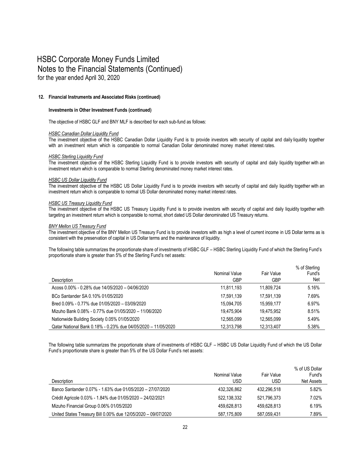#### **12. Financial Instruments and Associated Risks (continued)**

#### **Investments in Other Investment Funds (continued)**

The objective of HSBC GLF and BNY MLF is described for each sub-fund as follows:

#### *HSBC Canadian Dollar Liquidity Fund*

The investment objective of the HSBC Canadian Dollar Liquidity Fund is to provide investors with security of capital and daily liquidity together with an investment return which is comparable to normal Canadian Dollar denominated money market interest rates.

#### *HSBC Sterling Liquidity Fund*

The investment objective of the HSBC Sterling Liquidity Fund is to provide investors with security of capital and daily liquidity together with an investment return which is comparable to normal Sterling denominated money market interest rates.

#### *HSBC US Dollar Liquidity Fund*

The investment objective of the HSBC US Dollar Liquidity Fund is to provide investors with security of capital and daily liquidity together with an investment return which is comparable to normal US Dollar denominated money market interest rates.

#### *HSBC US Treasury Liquidity Fund*

The investment objective of the HSBC US Treasury Liquidity Fund is to provide investors with security of capital and daily liquidity together with targeting an investment return which is comparable to normal, short dated US Dollar denominated US Treasury returns.

#### *BNY Mellon US Treasury Fund*

The investment objective of the BNY Mellon US Treasury Fund is to provide investors with as high a level of current income in US Dollar terms as is consistent with the preservation of capital in US Dollar terms and the maintenance of liquidity.

The following table summarizes the proportionate share of investments of HSBC GLF – HSBC Sterling Liquidity Fund of which the Sterling Fund's proportionate share is greater than 5% of the Sterling Fund's net assets:

| Description                                                   | Nominal Value<br><b>GBP</b> | Fair Value<br><b>GBP</b> | % of Sterling<br>Fund's<br>Net |
|---------------------------------------------------------------|-----------------------------|--------------------------|--------------------------------|
|                                                               |                             |                          |                                |
| Acoss 0.00% - 0.28% due 14/05/2020 - 04/06/2020               | 11.811.193                  | 11.809.724               | 5.16%                          |
| BCo Santander SA 0.10% 01/05/2020                             | 17.591.139                  | 17.591.139               | 7.69%                          |
| Bred 0.09% - 0.77% due 01/05/2020 - 03/09/2020                | 15.094.705                  | 15.959.177               | 6.97%                          |
| Mizuho Bank 0.08% - 0.77% due 01/05/2020 - 11/06/2020         | 19.475.904                  | 19.475.952               | 8.51%                          |
| Nationwide Building Society 0.05% 01/05/2020                  | 12.565.099                  | 12.565.099               | 5.49%                          |
| Qatar National Bank 0.18% - 0.23% due 04/05/2020 - 11/05/2020 | 12,313,798                  | 12,313,407               | 5.38%                          |

The following table summarizes the proportionate share of investments of HSBC GLF – HSBC US Dollar Liquidity Fund of which the US Dollar Fund's proportionate share is greater than 5% of the US Dollar Fund's net assets:

| Description                                                   | Nominal Value<br>USD | Fair Value<br>USD | % of US Dollar<br>Fund's<br>Net Assets |
|---------------------------------------------------------------|----------------------|-------------------|----------------------------------------|
| Banco Santander 0.07% - 1.63% due 01/05/2020 - 27/07/2020     | 432.326.862          | 432.296.518       | 5.82%                                  |
| Crédit Agricole 0.03% - 1.84% due 01/05/2020 - 24/02/2021     | 522.138.332          | 521.796.373       | 7.02%                                  |
| Mizuho Financial Group 0.06% 01/05/2020                       | 459.628.813          | 459.628.813       | 6.19%                                  |
| United States Treasury Bill 0.00% due 12/05/2020 - 09/07/2020 | 587.175.809          | 587.059.431       | 7.89%                                  |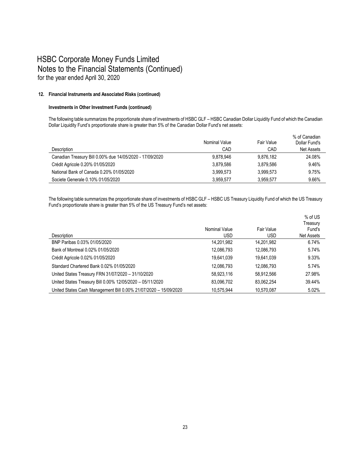#### **12. Financial Instruments and Associated Risks (continued)**

#### **Investments in Other Investment Funds (continued)**

The following table summarizes the proportionate share of investments of HSBC GLF – HSBC Canadian Dollar Liquidity Fund of which the Canadian Dollar Liquidity Fund's proportionate share is greater than 5% of the Canadian Dollar Fund's net assets:

| Description                                              | Nominal Value<br>CAD | Fair Value<br>CAD | % of Canadian<br>Dollar Fund's<br>Net Assets |
|----------------------------------------------------------|----------------------|-------------------|----------------------------------------------|
|                                                          |                      |                   |                                              |
| Canadian Treasury Bill 0.00% due 14/05/2020 - 17/09/2020 | 9.878.946            | 9.876.182         | 24.08%                                       |
| Crédit Agricole 0.20% 01/05/2020                         | 3.879.586            | 3.879.586         | 9.46%                                        |
| National Bank of Canada 0.20% 01/05/2020                 | 3.999.573            | 3.999.573         | 9.75%                                        |
| Societe Generale 0.10% 01/05/2020                        | 3.959.577            | 3.959.577         | 9.66%                                        |

The following table summarizes the proportionate share of investments of HSBC GLF – HSBC US Treasury Liquidity Fund of which the US Treasury Fund's proportionate share is greater than 5% of the US Treasury Fund's net assets:

|                                                                  |               |            | % of US    |
|------------------------------------------------------------------|---------------|------------|------------|
|                                                                  |               |            | Treasury   |
|                                                                  | Nominal Value | Fair Value | Fund's     |
| Description                                                      | <b>USD</b>    | <b>USD</b> | Net Assets |
| BNP Paribas 0.03% 01/05/2020                                     | 14,201,982    | 14,201,982 | 6.74%      |
| Bank of Montreal 0.02% 01/05/2020                                | 12,086,793    | 12,086,793 | 5.74%      |
| Crédit Agricole 0.02% 01/05/2020                                 | 19,641,039    | 19,641,039 | 9.33%      |
| Standard Chartered Bank 0.02% 01/05/2020                         | 12,086,793    | 12,086,793 | 5.74%      |
| United States Treasury FRN 31/07/2020 - 31/10/2020               | 58,923,116    | 58,912,566 | 27.98%     |
| United States Treasury Bill 0.00% 12/05/2020 - 05/11/2020        | 83,096,702    | 83.062.254 | 39.44%     |
| United States Cash Management Bill 0.00% 21/07/2020 - 15/09/2020 | 10.575.944    | 10.570.087 | $5.02\%$   |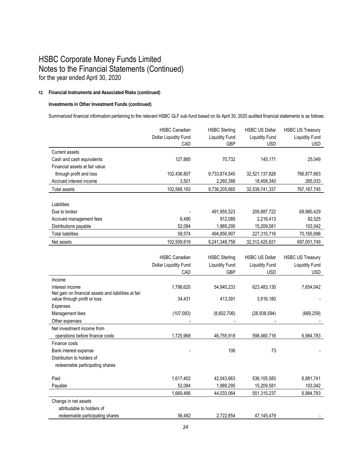#### **12. Financial Instruments and Associated Risks (continued)**

#### **Investments in Other Investment Funds (continued)**

Summarized financial information pertaining to the relevant HSBC GLF sub-fund based on its April 30, 2020 audited financial statements is as follows:

|                                                      | <b>HSBC Canadian</b>  | <b>HSBC Sterling</b>  | <b>HSBC US Dollar</b> | <b>HSBC US Treasury</b> |
|------------------------------------------------------|-----------------------|-----------------------|-----------------------|-------------------------|
|                                                      | Dollar Liquidity Fund | <b>Liquidity Fund</b> | <b>Liquidity Fund</b> | <b>Liquidity Fund</b>   |
|                                                      | CAD                   | <b>GBP</b>            | <b>USD</b>            | <b>USD</b>              |
| <b>Current assets</b>                                |                       |                       |                       |                         |
| Cash and cash equivalents                            | 127,885               | 70,732                | 145,171               | 25,049                  |
| Financial assets at fair value                       |                       |                       |                       |                         |
| through profit and loss                              | 102,436,807           | 9,733,874,545         | 32,521,137,826        | 766,877,663             |
| Accrued interest income                              | 3,501                 | 2,260,388             | 18,458,340            | 265,033                 |
| <b>Total assets</b>                                  | 102,568,193           | 9,736,205,665         | 32,539,741,337        | 767,167,745             |
|                                                      |                       |                       |                       |                         |
| Liabilities                                          |                       |                       |                       |                         |
| Due to broker                                        |                       | 491,955,523           | 209,887,722           | 69,980,429              |
| Accrued management fees                              | 6,490                 | 912,089               | 2,218,413             | 82,525                  |
| Distributions payable                                | 52.084                | 1,989,295             | 15,209,581            | 103,042                 |
| <b>Total liabilities</b>                             | 58,574                | 494,856,907           | 227,315,716           | 70,165,996              |
| Net assets                                           | 102,509,619           | 9,241,348,758         | 32,312,425,621        | 697,001,749             |
|                                                      |                       |                       |                       |                         |
|                                                      | <b>HSBC Canadian</b>  | <b>HSBC Sterling</b>  | <b>HSBC US Dollar</b> | <b>HSBC US Treasury</b> |
|                                                      | Dollar Liquidity Fund | <b>Liquidity Fund</b> | <b>Liquidity Fund</b> | <b>Liquidity Fund</b>   |
|                                                      | CAD                   | <b>GBP</b>            | <b>USD</b>            | USD                     |
| Income                                               |                       |                       |                       |                         |
| Interest income                                      | 1,798,620             | 54,945,233            | 623,483,130           | 7,654,042               |
| Net gain on financial assets and liabilities at fair |                       |                       |                       |                         |
| value through profit or loss                         | 34,431                | 413,391               | 3,916,180             |                         |
| Expenses                                             |                       |                       |                       |                         |
| Management fees                                      | (107, 083)            | (8,602,706)           | (28, 938, 594)        | (669, 259)              |
| Other expenses                                       |                       |                       |                       |                         |
| Net investment income from                           |                       |                       |                       |                         |
| operations before finance costs                      | 1,725,968             | 46,755,918            | 598,460,716           | 6,984,783               |
| Finance costs                                        |                       |                       |                       |                         |
| Bank interest expense                                |                       | 106                   | 73                    |                         |
| Distribution to holders of                           |                       |                       |                       |                         |
| redeemable participating shares                      |                       |                       |                       |                         |
| Paid                                                 | 1,617,402             | 42,043,663            | 536,105,583           | 6,881,741               |
| Payable                                              | 52,084                | 1,989,295             | 15,209,581            | 103,042                 |
|                                                      | 1,669,486             | 44,033,064            | 551,315,237           | 6,984,783               |
| Change in net assets                                 |                       |                       |                       |                         |
| attributable to holders of                           |                       |                       |                       |                         |
| redeemable participating shares                      | 56,482                | 2,722,854             | 47, 145, 479          |                         |
|                                                      |                       |                       |                       |                         |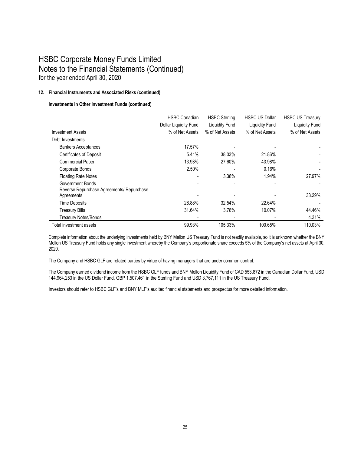#### **12. Financial Instruments and Associated Risks (continued)**

#### **Investments in Other Investment Funds (continued)**

|                                           | <b>HSBC Canadian</b>  | <b>HSBC Sterling</b> | <b>HSBC US Dollar</b> | <b>HSBC US Treasury</b> |
|-------------------------------------------|-----------------------|----------------------|-----------------------|-------------------------|
|                                           | Dollar Liquidity Fund | Liquidity Fund       | Liquidity Fund        | <b>Liquidity Fund</b>   |
| <b>Investment Assets</b>                  | % of Net Assets       | % of Net Assets      | % of Net Assets       | % of Net Assets         |
| Debt Investments                          |                       |                      |                       |                         |
| <b>Bankers Acceptances</b>                | 17.57%                |                      |                       |                         |
| <b>Certificates of Deposit</b>            | 5.41%                 | 38.03%               | 21.86%                |                         |
| <b>Commercial Paper</b>                   | 13.93%                | 27.60%               | 43.98%                |                         |
| Corporate Bonds                           | 2.50%                 |                      | 0.16%                 |                         |
| <b>Floating Rate Notes</b>                |                       | 3.38%                | 1.94%                 | 27.97%                  |
| Government Bonds                          |                       |                      |                       |                         |
| Reverse Repurchase Agreements/ Repurchase |                       |                      |                       |                         |
| Agreements                                |                       |                      |                       | 33.29%                  |
| <b>Time Deposits</b>                      | 28.88%                | 32.54%               | 22.64%                |                         |
| <b>Treasury Bills</b>                     | 31.64%                | 3.78%                | 10.07%                | 44.46%                  |
| <b>Treasury Notes/Bonds</b>               |                       |                      |                       | 4.31%                   |
| Total investment assets                   | 99.93%                | 105.33%              | 100.65%               | 110.03%                 |

Complete information about the underlying investments held by BNY Mellon US Treasury Fund is not readily available, so it is unknown whether the BNY Mellon US Treasury Fund holds any single investment whereby the Company's proportionate share exceeds 5% of the Company's net assets at April 30, 2020.

The Company and HSBC GLF are related parties by virtue of having managers that are under common control.

The Company earned dividend income from the HSBC GLF funds and BNY Mellon Liquidity Fund of CAD 553,872 in the Canadian Dollar Fund, USD 144,964,253 in the US Dollar Fund, GBP 1,507,461 in the Sterling Fund and USD 3,767,111 in the US Treasury Fund.

Investors should refer to HSBC GLF's and BNY MLF's audited financial statements and prospectus for more detailed information.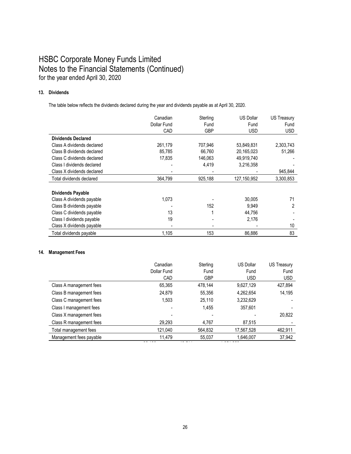#### **13. Dividends**

The table below reflects the dividends declared during the year and dividends payable as at April 30, 2020.

|                            | Canadian    | Sterling   | <b>US Dollar</b> | US Treasury |
|----------------------------|-------------|------------|------------------|-------------|
|                            | Dollar Fund | Fund       | Fund             | Fund        |
|                            | CAD         | <b>GBP</b> | <b>USD</b>       | <b>USD</b>  |
| <b>Dividends Declared</b>  |             |            |                  |             |
| Class A dividends declared | 261,179     | 707,946    | 53,849,831       | 2,303,743   |
| Class B dividends declared | 85,785      | 66,760     | 20,165,023       | 51,266      |
| Class C dividends declared | 17,835      | 146,063    | 49,919,740       |             |
| Class I dividends declared |             | 4,419      | 3,216,358        |             |
| Class X dividends declared |             |            |                  | 945,844     |
| Total dividends declared   | 364,799     | 925,188    | 127,150,952      | 3,300,853   |
|                            |             |            |                  |             |
| <b>Dividends Payable</b>   |             |            |                  |             |
| Class A dividends payable  | 1,073       |            | 30,005           | 71          |
| Class B dividends payable  |             | 152        | 9,949            | 2           |
| Class C dividends payable  | 13          |            | 44,756           |             |
| Class I dividends payable  | 19          |            | 2,176            |             |
| Class X dividends payable  |             |            |                  | 10          |
| Total dividends payable    | 1.105       | 153        | 86.886           | 83          |

#### **14. Management Fees**

|                         | Canadian    | Sterling   | <b>US Dollar</b> | US Treasury |
|-------------------------|-------------|------------|------------------|-------------|
|                         | Dollar Fund | Fund       | Fund             | Fund        |
|                         | CAD         | <b>GBP</b> | <b>USD</b>       | <b>USD</b>  |
| Class A management fees | 65.365      | 478.144    | 9.627.129        | 427,894     |
| Class B management fees | 24.879      | 55,356     | 4,262,654        | 14.195      |
| Class C management fees | 1.503       | 25.110     | 3,232,629        |             |
| Class I management fees |             | 1.455      | 357,601          |             |
| Class X management fees |             |            |                  | 20,822      |
| Class R management fees | 29,293      | 4,767      | 87.515           |             |
| Total management fees   | 121,040     | 564,832    | 17,567,528       | 462,911     |
| Management fees payable | 11,479      | 55,037     | 1,646,007        | 37,942      |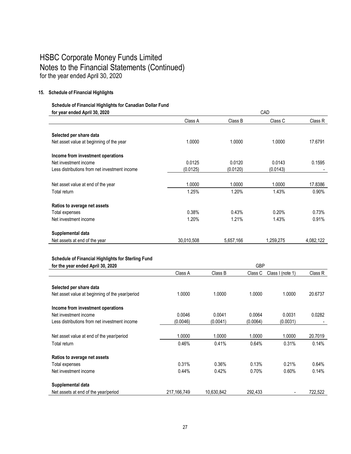#### **15. Schedule of Financial Highlights**

## **Schedule of Financial Highlights for Canadian Dollar Fund**

| for year ended April 30, 2020                 |            |           | CAD       |           |
|-----------------------------------------------|------------|-----------|-----------|-----------|
|                                               | Class A    | Class B   | Class C   | Class R   |
|                                               |            |           |           |           |
| Selected per share data                       |            |           |           |           |
| Net asset value at beginning of the year      | 1.0000     | 1.0000    | 1.0000    | 17.6791   |
| Income from investment operations             |            |           |           |           |
| Net investment income                         | 0.0125     | 0.0120    | 0.0143    | 0.1595    |
| Less distributions from net investment income | (0.0125)   | (0.0120)  | (0.0143)  |           |
|                                               |            |           |           |           |
| Net asset value at end of the year            | 1.0000     | 1.0000    | 1.0000    | 17.8386   |
| Total return                                  | 1.25%      | 1.20%     | 1.43%     | $0.90\%$  |
| Ratios to average net assets                  |            |           |           |           |
|                                               |            |           |           |           |
| Total expenses                                | 0.38%      | 0.43%     | 0.20%     | 0.73%     |
| Net investment income                         | 1.20%      | 1.21%     | 1.43%     | 0.91%     |
| Supplemental data                             |            |           |           |           |
| Net assets at end of the year                 | 30,010,508 | 5,657,166 | 1,259,275 | 4,082,122 |
|                                               |            |           |           |           |

#### **Schedule of Financial Highlights for Sterling Fund**

| for the year ended April 30, 2020               |             | <b>GBP</b> |          |                  |         |
|-------------------------------------------------|-------------|------------|----------|------------------|---------|
|                                                 | Class A     | Class B    | Class C  | Class I (note 1) | Class R |
|                                                 |             |            |          |                  |         |
| Selected per share data                         |             |            |          |                  |         |
| Net asset value at beginning of the year/period | 1.0000      | 1.0000     | 1.0000   | 1.0000           | 20.6737 |
| Income from investment operations               |             |            |          |                  |         |
| Net investment income                           | 0.0046      | 0.0041     | 0.0064   | 0.0031           | 0.0282  |
| Less distributions from net investment income   | (0.0046)    | (0.0041)   | (0.0064) | (0.0031)         |         |
|                                                 |             |            |          |                  |         |
| Net asset value at end of the year/period       | 1.0000      | 1.0000     | 1.0000   | 1.0000           | 20.7019 |
| Total return                                    | 0.46%       | 0.41%      | 0.64%    | 0.31%            | 0.14%   |
| Ratios to average net assets                    |             |            |          |                  |         |
| Total expenses                                  | 0.31%       | $0.36\%$   | 0.13%    | 0.21%            | 0.64%   |
| Net investment income                           | 0.44%       | 0.42%      | 0.70%    | 0.60%            | 0.14%   |
| Supplemental data                               |             |            |          |                  |         |
| Net assets at end of the year/period            | 217,166,749 | 10,630,842 | 292.433  |                  | 722,522 |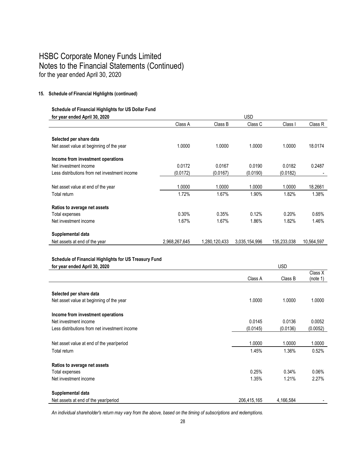#### **15. Schedule of Financial Highlights (continued)**

## **Schedule of Financial Highlights for US Dollar Fund**

| for year ended April 30, 2020                 | USD           |               |               |             |            |
|-----------------------------------------------|---------------|---------------|---------------|-------------|------------|
|                                               | Class A       | Class B       | Class C       | Class I     | Class R    |
|                                               |               |               |               |             |            |
| Selected per share data                       |               |               |               |             |            |
| Net asset value at beginning of the year      | 1.0000        | 1.0000        | 1.0000        | 1.0000      | 18.0174    |
| Income from investment operations             |               |               |               |             |            |
| Net investment income                         | 0.0172        | 0.0167        | 0.0190        | 0.0182      | 0.2487     |
| Less distributions from net investment income | (0.0172)      | (0.0167)      | (0.0190)      | (0.0182)    |            |
|                                               |               |               |               |             |            |
| Net asset value at end of the year            | 1.0000        | 1.0000        | 1.0000        | 1.0000      | 18.2661    |
| Total return                                  | 1.72%         | 1.67%         | 1.90%         | 1.82%       | 1.38%      |
| Ratios to average net assets                  |               |               |               |             |            |
| Total expenses                                | 0.30%         | 0.35%         | 0.12%         | 0.20%       | 0.65%      |
| Net investment income                         | 1.67%         | 1.67%         | 1.86%         | 1.82%       | 1.46%      |
| Supplemental data                             |               |               |               |             |            |
| Net assets at end of the year                 | 2,968,267,645 | 1,280,120,433 | 3,035,154,996 | 135.233.038 | 10.564.597 |

### **Schedule of Financial Highlights for US Treasury Fund**

| for year ended April 30, 2020                 | <b>USD</b>  |           |                     |  |
|-----------------------------------------------|-------------|-----------|---------------------|--|
|                                               | Class A     | Class B   | Class X<br>(note 1) |  |
| Selected per share data                       |             |           |                     |  |
| Net asset value at beginning of the year      | 1.0000      | 1.0000    | 1.0000              |  |
| Income from investment operations             |             |           |                     |  |
| Net investment income                         | 0.0145      | 0.0136    | 0.0052              |  |
| Less distributions from net investment income | (0.0145)    | (0.0136)  | (0.0052)            |  |
|                                               |             |           |                     |  |
| Net asset value at end of the year/period     | 1.0000      | 1.0000    | 1.0000              |  |
| Total return                                  | 1.45%       | 1.36%     | 0.52%               |  |
| Ratios to average net assets                  |             |           |                     |  |
| Total expenses                                | 0.25%       | 0.34%     | $0.06\%$            |  |
| Net investment income                         | 1.35%       | 1.21%     | 2.27%               |  |
| Supplemental data                             |             |           |                     |  |
| Net assets at end of the year/period          | 206,415,165 | 4,166,584 |                     |  |

*An individual shareholder's return may vary from the above, based on the timing of subscriptions and redemptions.*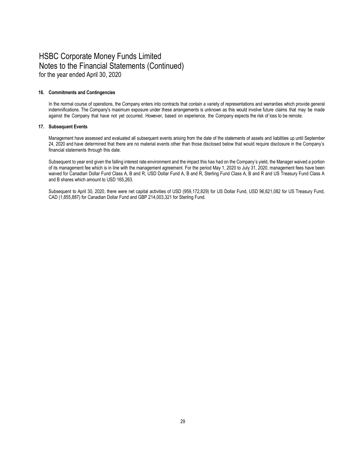#### **16. Commitments and Contingencies**

In the normal course of operations, the Company enters into contracts that contain a variety of representations and warranties which provide general indemnifications. The Company's maximum exposure under these arrangements is unknown as this would involve future claims that may be made against the Company that have not yet occurred. However, based on experience, the Company expects the risk of loss to be remote.

#### **17. Subsequent Events**

Management have assessed and evaluated all subsequent events arising from the date of the statements of assets and liabilities up until September 24, 2020 and have determined that there are no material events other than those disclosed below that would require disclosure in the Company's financial statements through this date.

Subsequent to year end given the falling interest rate environment and the impact this has had on the Company's yield, the Manager waived a portion of its management fee which is in line with the management agreement. For the period May 1, 2020 to July 31, 2020, management fees have been waived for Canadian Dollar Fund Class A, B and R, USD Dollar Fund A, B and R, Sterling Fund Class A, B and R and US Treasury Fund Class A and B shares which amount to USD 165,263.

Subsequent to April 30, 2020, there were net capital activities of USD (959,172,829) for US Dollar Fund, USD 96,621,082 for US Treasury Fund, CAD (1,855,887) for Canadian Dollar Fund and GBP 214,003,321 for Sterling Fund.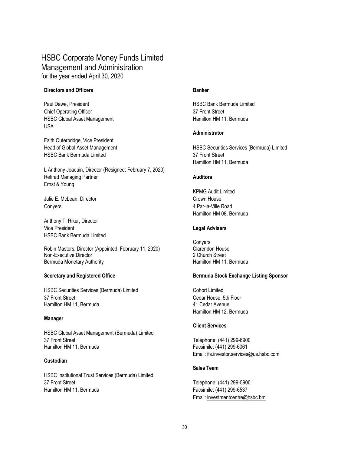### HSBC Corporate Money Funds Limited Management and Administration for the year ended April 30, 2020

#### **Directors and Officers Banker**

Paul Dawe, President **HSBC Bank Bermuda Limited HSBC Bank Bermuda Limited** Chief Operating Officer 37 Front Street HSBC Global Asset Management **Hamilton HM** 11, Bermuda USA

Faith Outerbridge, Vice President HSBC Bank Bermuda Limited 37 Front Street

L Anthony Joaquin, Director (Resigned: February 7, 2020) Retired Managing Partner **Auditors Auditors** Ernst & Young

Julie E. McLean, Director Crown House Crown House Conyers 4 Par-la-Ville Road

Anthony T. Riker, Director Vice President **Legal Advisers** HSBC Bank Bermuda Limited

Robin Masters, Director (Appointed: February 11, 2020)<br>Non-Executive Director (Cappointed: February 11, 2020) 2 Church Street Non-Executive Director Bermuda Monetary Authority **Hamilton HM** 11, Bermuda

HSBC Securities Services (Bermuda) Limited Cohort Limited Cohort Limited 37 Front Street Cedar House, 5th Floor Hamilton HM 11, Bermuda **41 Cedar Avenue** 

#### **Manager**

HSBC Global Asset Management (Bermuda) Limited 37 Front Street Telephone: (441) 299-6900 Hamilton HM 11, Bermuda Facsimile: (441) 299-6061

#### **Custodian**

HSBC Institutional Trust Services (Bermuda) Limited 37 Front Street Telephone: (441) 299-5900 Hamilton HM 11, Bermuda Facsimile: (441) 299-6537

#### **Administrator**

Head of Global Asset Management **HSBC Securities Services (Bermuda) Limited** HSBC Securities Services (Bermuda) Limited Hamilton HM 11, Bermuda

KPMG Audit Limited Hamilton HM 08, Bermuda

Conyers<br>Clarendon House

#### **Secretary and Registered Office Bermuda Stock Exchange Listing Sponsor**

Hamilton HM 12, Bermuda

#### **Client Services**

Email: ifs.investor.services@us.hsbc.com

#### **Sales Team**

Email: investmentcentre@hsbc.bm